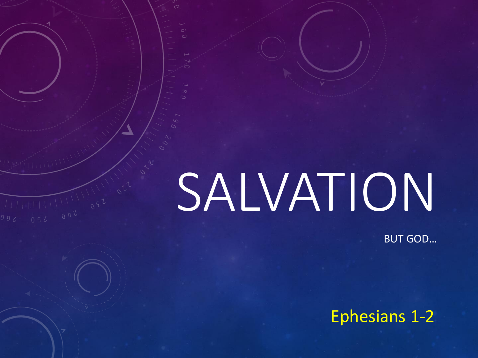# SALVATION

 $\overline{\circ}$ 

BUT GOD…

## Ephesians 1-2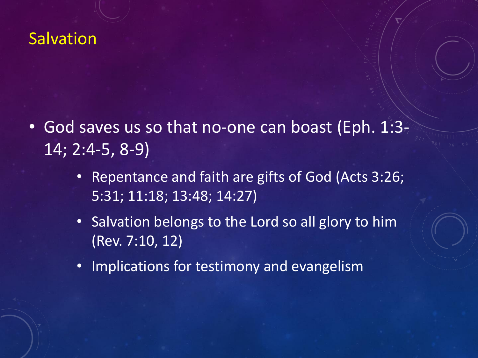- God saves us so that no-one can boast (Eph. 1:3- 14; 2:4-5, 8-9)
	- Repentance and faith are gifts of God (Acts 3:26; 5:31; 11:18; 13:48; 14:27)
	- Salvation belongs to the Lord so all glory to him (Rev. 7:10, 12)
	- Implications for testimony and evangelism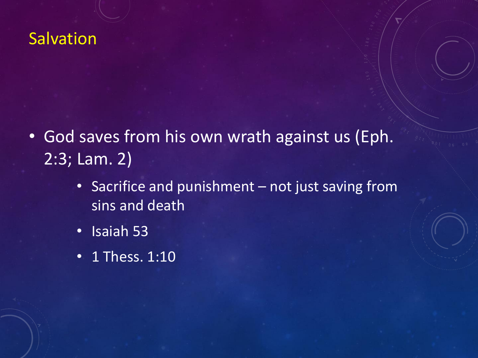- God saves from his own wrath against us (Eph. 2:3; Lam. 2)
	- Sacrifice and punishment not just saving from sins and death
	- Isaiah 53
	- 1 Thess. 1:10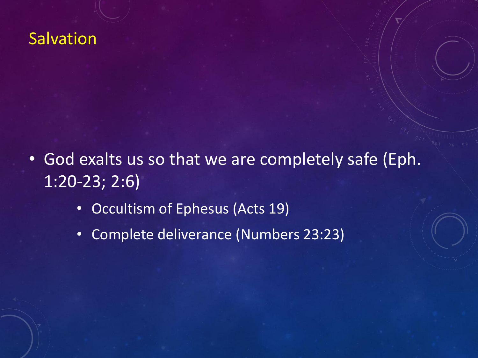- God exalts us so that we are completely safe (Eph. 1:20-23; 2:6)
	- Occultism of Ephesus (Acts 19)
	- Complete deliverance (Numbers 23:23)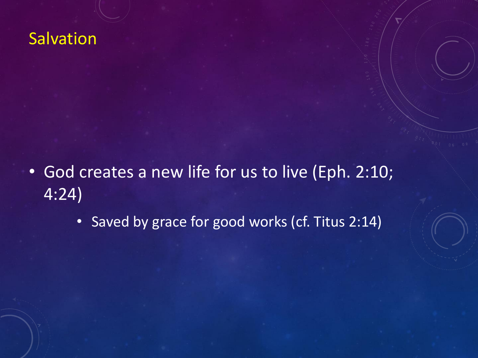- God creates a new life for us to live (Eph. 2:10; 4:24)
	- Saved by grace for good works (cf. Titus 2:14)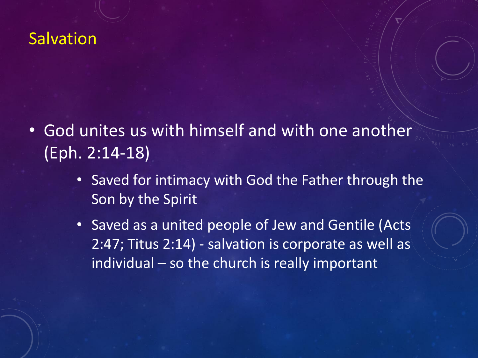- God unites us with himself and with one another (Eph. 2:14-18)
	- Saved for intimacy with God the Father through the Son by the Spirit
	- Saved as a united people of Jew and Gentile (Acts 2:47; Titus 2:14) - salvation is corporate as well as individual – so the church is really important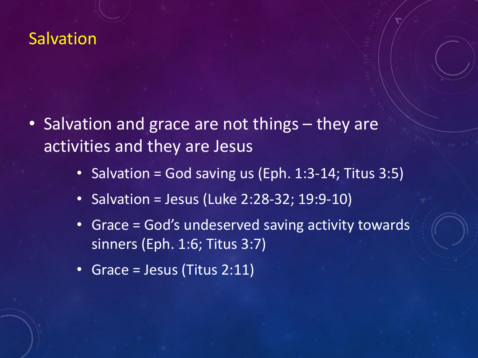- Salvation and grace are not things they are activities and they are Jesus
	- Salvation = God saving us (Eph. 1:3-14; Titus 3:5)
	- Salvation = Jesus (Luke 2:28-32; 19:9-10)
	- Grace = God's undeserved saving activity towards sinners (Eph. 1:6; Titus 3:7)
	- Grace = Jesus (Titus 2:11)